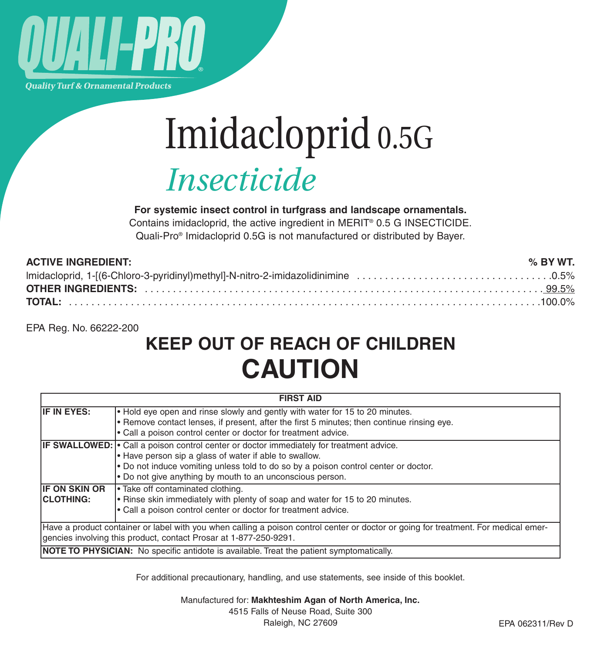

**Quality Turf & Ornamental Products** 

# Imidacloprid 0.5G *Insecticide*

**For systemic insect control in turfgrass and landscape ornamentals.**

Contains imidacloprid, the active ingredient in MERIT® 0.5 G INSECTICIDE. Quali-Pro® Imidacloprid 0.5G is not manufactured or distributed by Bayer.

| <b>ACTIVE INGREDIENT:</b> | % BY WT. |
|---------------------------|----------|
|                           |          |
|                           |          |
|                           |          |

EPA Reg. No. 66222-200

## **KEEP OUT OF REACH OF CHILDREN CAUTION**

| <b>FIRST AID</b>                                                                                                                                                                                         |                                                                                                                                                                                                                                                                                                               |  |  |
|----------------------------------------------------------------------------------------------------------------------------------------------------------------------------------------------------------|---------------------------------------------------------------------------------------------------------------------------------------------------------------------------------------------------------------------------------------------------------------------------------------------------------------|--|--|
| IF IN EYES:                                                                                                                                                                                              | . Hold eye open and rinse slowly and gently with water for 15 to 20 minutes.<br>• Remove contact lenses, if present, after the first 5 minutes; then continue rinsing eye.<br>• Call a poison control center or doctor for treatment advice.                                                                  |  |  |
|                                                                                                                                                                                                          | <b>IF SWALLOWED:</b> • Call a poison control center or doctor immediately for treatment advice.<br>. Have person sip a glass of water if able to swallow.<br>. Do not induce vomiting unless told to do so by a poison control center or doctor.<br>• Do not give anything by mouth to an unconscious person. |  |  |
| <b>IF ON SKIN OR</b><br><b>CLOTHING:</b>                                                                                                                                                                 | Take off contaminated clothing.<br>. Rinse skin immediately with plenty of soap and water for 15 to 20 minutes.<br>. Call a poison control center or doctor for treatment advice.                                                                                                                             |  |  |
| Have a product container or label with you when calling a poison control center or doctor or going for treatment. For medical emer-<br>gencies involving this product, contact Prosar at 1-877-250-9291. |                                                                                                                                                                                                                                                                                                               |  |  |
| NOTE TO PHYSICIAN: No specific antidote is available. Treat the patient symptomatically.                                                                                                                 |                                                                                                                                                                                                                                                                                                               |  |  |

For additional precautionary, handling, and use statements, see inside of this booklet.

Manufactured for: **Makhteshim Agan of North America, Inc.**

4515 Falls of Neuse Road, Suite 300 Raleigh, NC 27609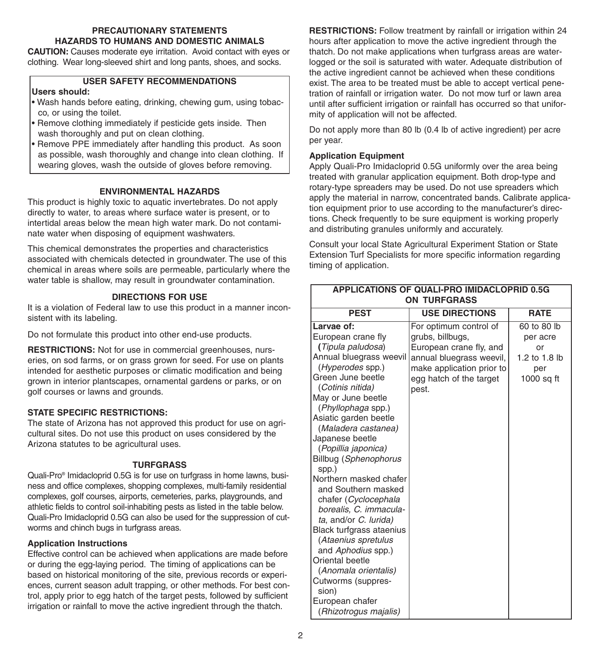#### **PRECAUTIONARY STATEMENTS HAZARDS TO HUMANS AND DOMESTIC ANIMALS**

**CAUTION:** Causes moderate eye irritation. Avoid contact with eyes or clothing. Wear long-sleeved shirt and long pants, shoes, and socks.

#### **USER SAFETY RECOMMENDATIONS**

#### **Users should:**

- Wash hands before eating, drinking, chewing gum, using tobacco, or using the toilet.
- Remove clothing immediately if pesticide gets inside. Then wash thoroughly and put on clean clothing.
- Remove PPE immediately after handling this product. As soon as possible, wash thoroughly and change into clean clothing. If wearing gloves, wash the outside of gloves before removing.

#### **ENVIRONMENTAL HAZARDS**

This product is highly toxic to aquatic invertebrates. Do not apply directly to water, to areas where surface water is present, or to intertidal areas below the mean high water mark. Do not contaminate water when disposing of equipment washwaters.

This chemical demonstrates the properties and characteristics associated with chemicals detected in groundwater. The use of this chemical in areas where soils are permeable, particularly where the water table is shallow, may result in groundwater contamination.

#### **DIRECTIONS FOR USE**

It is a violation of Federal law to use this product in a manner inconsistent with its labeling.

Do not formulate this product into other end-use products.

**RESTRICTIONS:** Not for use in commercial greenhouses, nurseries, on sod farms, or on grass grown for seed. For use on plants intended for aesthetic purposes or climatic modification and being grown in interior plantscapes, ornamental gardens or parks, or on golf courses or lawns and grounds.

#### **STATE SPECIFIC RESTRICTIONS:**

The state of Arizona has not approved this product for use on agricultural sites. Do not use this product on uses considered by the Arizona statutes to be agricultural uses.

#### **TURFGRASS**

Quali-Pro® Imidacloprid 0.5G is for use on turfgrass in home lawns, business and office complexes, shopping complexes, multi-family residential complexes, golf courses, airports, cemeteries, parks, playgrounds, and athletic fields to control soil-inhabiting pests as listed in the table below. Quali-Pro Imidacloprid 0.5G can also be used for the suppression of cutworms and chinch bugs in turfgrass areas.

#### **Application Instructions**

Effective control can be achieved when applications are made before or during the egg-laying period. The timing of applications can be based on historical monitoring of the site, previous records or experiences, current season adult trapping, or other methods. For best control, apply prior to egg hatch of the target pests, followed by sufficient irrigation or rainfall to move the active ingredient through the thatch.

**RESTRICTIONS:** Follow treatment by rainfall or irrigation within 24 hours after application to move the active ingredient through the thatch. Do not make applications when turfgrass areas are waterlogged or the soil is saturated with water. Adequate distribution of the active ingredient cannot be achieved when these conditions exist. The area to be treated must be able to accept vertical penetration of rainfall or irrigation water. Do not mow turf or lawn area until after sufficient irrigation or rainfall has occurred so that uniformity of application will not be affected.

Do not apply more than 80 lb (0.4 lb of active ingredient) per acre per year.

#### **Application Equipment**

Apply Quali-Pro Imidacloprid 0.5G uniformly over the area being treated with granular application equipment. Both drop-type and rotary-type spreaders may be used. Do not use spreaders which apply the material in narrow, concentrated bands. Calibrate application equipment prior to use according to the manufacturer's directions. Check frequently to be sure equipment is working properly and distributing granules uniformly and accurately.

Consult your local State Agricultural Experiment Station or State Extension Turf Specialists for more specific information regarding timing of application.

| <b>APPLICATIONS OF QUALI-PRO IMIDACLOPRID 0.5G</b><br><b>ON TURFGRASS</b>                                                                                                                                                                                                                                                                                                                                                                                                                                                                                                                                                                        |                                                                                                                                                                    |                                                                     |  |  |
|--------------------------------------------------------------------------------------------------------------------------------------------------------------------------------------------------------------------------------------------------------------------------------------------------------------------------------------------------------------------------------------------------------------------------------------------------------------------------------------------------------------------------------------------------------------------------------------------------------------------------------------------------|--------------------------------------------------------------------------------------------------------------------------------------------------------------------|---------------------------------------------------------------------|--|--|
| <b>PEST</b>                                                                                                                                                                                                                                                                                                                                                                                                                                                                                                                                                                                                                                      | <b>USE DIRECTIONS</b>                                                                                                                                              | <b>RATE</b>                                                         |  |  |
| Larvae of:<br>European crane fly<br>(Tipula paludosa)<br>Annual bluegrass weevil<br>(Hyperodes spp.)<br>Green June beetle<br>(Cotinis nitida)<br>May or June beetle<br>(Phyllophaga spp.)<br>Asiatic garden beetle<br>(Maladera castanea)<br>Japanese beetle<br>(Popillia japonica)<br>Billbug (Sphenophorus<br>spp.)<br>Northern masked chafer<br>and Southern masked<br>chafer (Cyclocephala<br>borealis, C. immacula-<br>ta, and/or C. lurida)<br>Black turfgrass ataenius<br>(Ataenius spretulus<br>and Aphodius spp.)<br>Oriental beetle<br>(Anomala orientalis)<br>Cutworms (suppres-<br>sion)<br>European chafer<br>(Rhizotrogus majalis) | For optimum control of<br>grubs, billbugs,<br>European crane fly, and<br>annual bluegrass weevil,<br>make application prior to<br>egg hatch of the target<br>pest. | 60 to 80 lb<br>per acre<br>or<br>1.2 to 1.8 lb<br>per<br>1000 sq ft |  |  |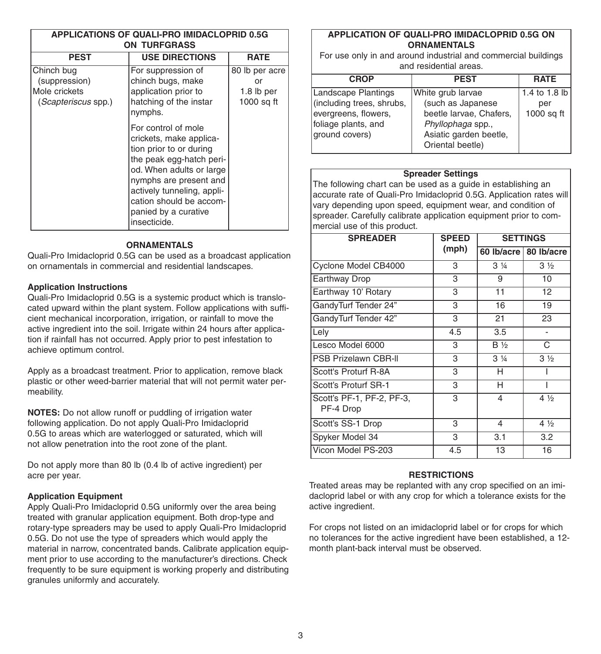| APPLICATIONS OF QUALI-PRO IMIDACLOPRID 0.5G<br><b>ON TURFGRASS</b>  |                                                                                                                                                                                                                                                              |                                                  |  |
|---------------------------------------------------------------------|--------------------------------------------------------------------------------------------------------------------------------------------------------------------------------------------------------------------------------------------------------------|--------------------------------------------------|--|
| <b>PEST</b>                                                         | <b>USE DIRECTIONS</b>                                                                                                                                                                                                                                        | <b>RATE</b>                                      |  |
| Chinch bug<br>(suppression)<br>Mole crickets<br>(Scapteriscus spp.) | For suppression of<br>chinch bugs, make<br>application prior to<br>hatching of the instar<br>nymphs.                                                                                                                                                         | 80 lb per acre<br>or<br>1.8 lb per<br>1000 sq ft |  |
|                                                                     | For control of mole<br>crickets, make applica-<br>tion prior to or during<br>the peak egg-hatch peri-<br>od. When adults or large<br>nymphs are present and<br>actively tunneling, appli-<br>cation should be accom-<br>panied by a curative<br>insecticide. |                                                  |  |

#### **ORNAMENTALS**

Quali-Pro Imidacloprid 0.5G can be used as a broadcast application on ornamentals in commercial and residential landscapes.

#### **Application Instructions**

Quali-Pro Imidacloprid 0.5G is a systemic product which is translocated upward within the plant system. Follow applications with sufficient mechanical incorporation, irrigation, or rainfall to move the active ingredient into the soil. Irrigate within 24 hours after application if rainfall has not occurred. Apply prior to pest infestation to achieve optimum control.

Apply as a broadcast treatment. Prior to application, remove black plastic or other weed-barrier material that will not permit water permeability.

**NOTES:** Do not allow runoff or puddling of irrigation water following application. Do not apply Quali-Pro Imidacloprid 0.5G to areas which are waterlogged or saturated, which will not allow penetration into the root zone of the plant.

Do not apply more than 80 lb (0.4 lb of active ingredient) per acre per year.

#### **Application Equipment**

Apply Quali-Pro Imidacloprid 0.5G uniformly over the area being treated with granular application equipment. Both drop-type and rotary-type spreaders may be used to apply Quali-Pro Imidacloprid 0.5G. Do not use the type of spreaders which would apply the material in narrow, concentrated bands. Calibrate application equipment prior to use according to the manufacturer's directions. Check frequently to be sure equipment is working properly and distributing granules uniformly and accurately.

#### **APPLICATION OF QUALI-PRO IMIDACLOPRID 0.5G ON ORNAMENTALS**

For use only in and around industrial and commercial buildings and residential areas.

| <b>CROP</b>                                                                                | <b>PEST</b>                                                                                 | <b>RATE</b>       |  |
|--------------------------------------------------------------------------------------------|---------------------------------------------------------------------------------------------|-------------------|--|
| Landscape Plantings                                                                        | White grub larvae                                                                           | 1.4 to 1.8 lb     |  |
| (including trees, shrubs,<br>evergreens, flowers,<br>foliage plants, and<br>ground covers) | (such as Japanese<br>beetle larvae, Chafers,<br>Phyllophaga spp.,<br>Asiatic garden beetle, | per<br>1000 sq ft |  |
|                                                                                            | Oriental beetle)                                                                            |                   |  |

#### **Spreader Settings**

The following chart can be used as a guide in establishing an accurate rate of Quali-Pro Imidacloprid 0.5G. Application rates will vary depending upon speed, equipment wear, and condition of spreader. Carefully calibrate application equipment prior to commercial use of this product.

| <b>SPREADER</b>                        | <b>SPEED</b> | <b>SETTINGS</b> |                |
|----------------------------------------|--------------|-----------------|----------------|
|                                        | (mph)        | 60 lb/acre      | 80 lb/acre     |
| Cyclone Model CB4000                   | 3            | $3\frac{1}{4}$  | 3 <sub>2</sub> |
| <b>Earthway Drop</b>                   | 3            | 9               | 10             |
| Earthway 10' Rotary                    | 3            | 11              | 12             |
| GandyTurf Tender 24"                   | 3            | 16              | 19             |
| GandyTurf Tender 42"                   | 3            | 21              | 23             |
| Lely                                   | 4.5          | 3.5             | $\overline{a}$ |
| Lesco Model 6000                       | 3            | <b>B</b> %      | C              |
| <b>PSB Prizelawn CBR-II</b>            | 3            | $3\frac{1}{4}$  | 3 <sub>2</sub> |
| Scott's Proturf R-8A                   | 3            | н               |                |
| Scott's Proturf SR-1                   | 3            | н               |                |
| Scott's PF-1, PF-2, PF-3,<br>PF-4 Drop | 3            | 4               | 4 %            |
| Scott's SS-1 Drop                      | 3            | 4               | 4 1/2          |
| Spyker Model 34                        | 3            | 3.1             | 3.2            |
| Vicon Model PS-203                     | 4.5          | 13              | 16             |

#### **RESTRICTIONS**

Treated areas may be replanted with any crop specified on an imidacloprid label or with any crop for which a tolerance exists for the active ingredient.

For crops not listed on an imidacloprid label or for crops for which no tolerances for the active ingredient have been established, a 12 month plant-back interval must be observed.